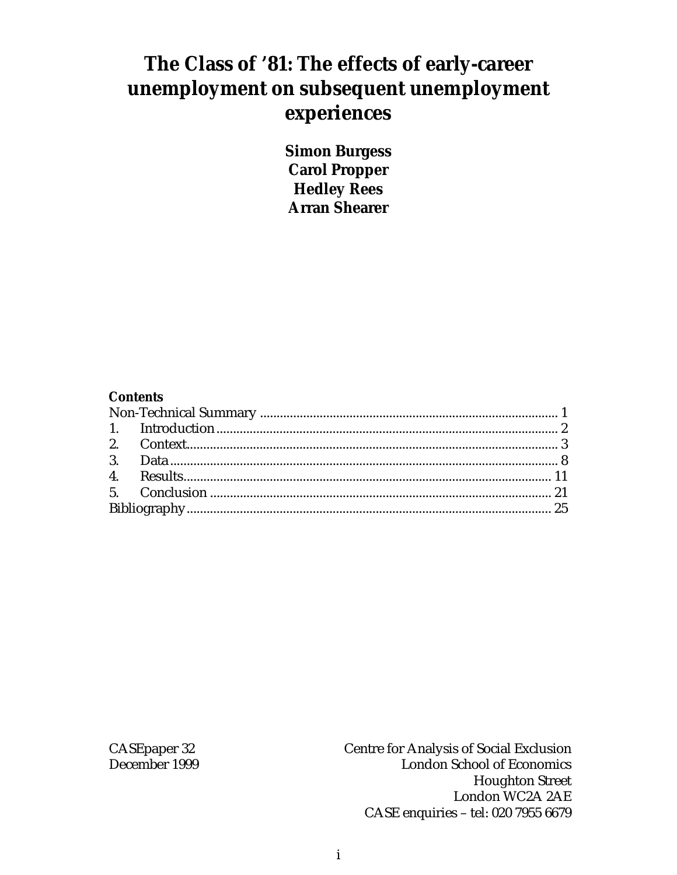# **The Class of '81: The effects of early-career unemployment on subsequent unemployment experiences**

**Simon Burgess Carol Propper Hedley Rees Arran Shearer**

#### **Contents**

CASEpaper 32 Centre for Analysis of Social Exclusion December 1999 London School of Economics Houghton Street London WC2A 2AE CASE enquiries – tel: 020 7955 6679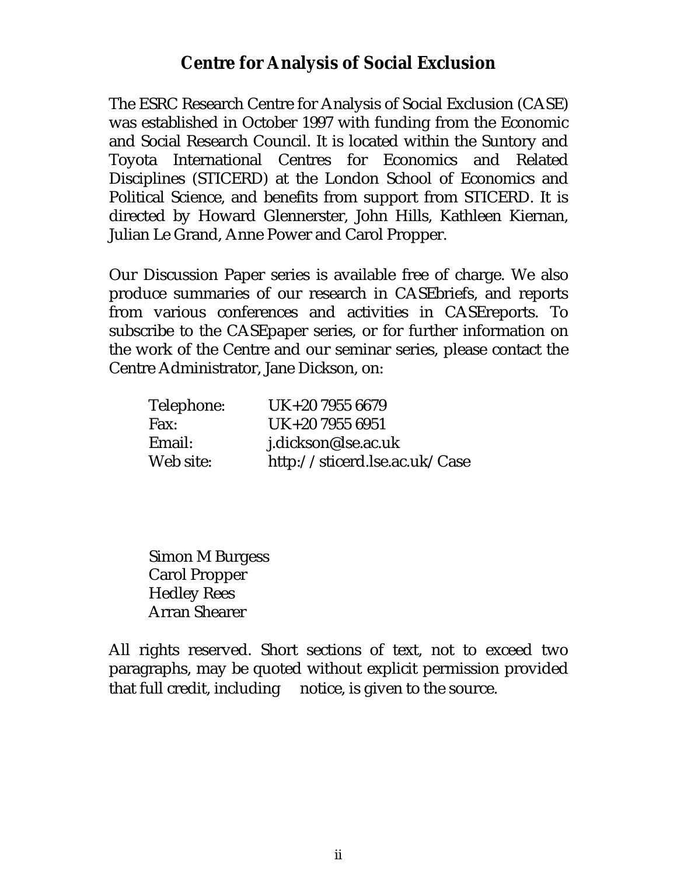### **Centre for Analysis of Social Exclusion**

The ESRC Research Centre for Analysis of Social Exclusion (CASE) was established in October 1997 with funding from the Economic and Social Research Council. It is located within the Suntory and Toyota International Centres for Economics and Related Disciplines (STICERD) at the London School of Economics and Political Science, and benefits from support from STICERD. It is directed by Howard Glennerster, John Hills, Kathleen Kiernan, Julian Le Grand, Anne Power and Carol Propper.

Our Discussion Paper series is available free of charge. We also produce summaries of our research in CASEbriefs, and reports from various conferences and activities in CASEreports. To subscribe to the CASEpaper series, or for further information on the work of the Centre and our seminar series, please contact the Centre Administrator, Jane Dickson, on:

| Telephone:  | UK+20 7955 6679               |
|-------------|-------------------------------|
| <b>Fax:</b> | UK+20 7955 6951               |
| Email:      | j.dickson@lse.ac.uk           |
| Web site:   | http://sticerd.lse.ac.uk/Case |

 Simon M Burgess Carol Propper Hedley Rees Arran Shearer

All rights reserved. Short sections of text, not to exceed two paragraphs, may be quoted without explicit permission provided that full credit, including  $\circledcirc$  notice, is given to the source.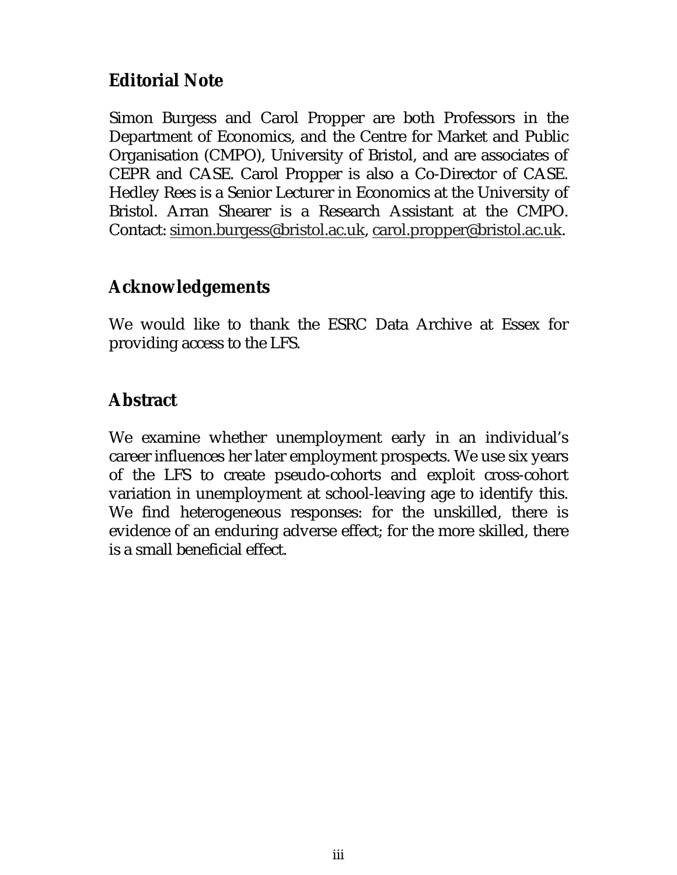## **Editorial Note**

Simon Burgess and Carol Propper are both Professors in the Department of Economics, and the Centre for Market and Public Organisation (CMPO), University of Bristol, and are associates of CEPR and CASE. Carol Propper is also a Co-Director of CASE. Hedley Rees is a Senior Lecturer in Economics at the University of Bristol. Arran Shearer is a Research Assistant at the CMPO. Contact: simon.burgess@bristol.ac.uk, carol.propper@bristol.ac.uk.

### **Acknowledgements**

We would like to thank the ESRC Data Archive at Essex for providing access to the LFS.

## **Abstract**

We examine whether unemployment early in an individual's career influences her later employment prospects. We use six years of the LFS to create pseudo-cohorts and exploit cross-cohort variation in unemployment at school-leaving age to identify this. We find heterogeneous responses: for the unskilled, there is evidence of an enduring adverse effect; for the more skilled, there is a small beneficial effect.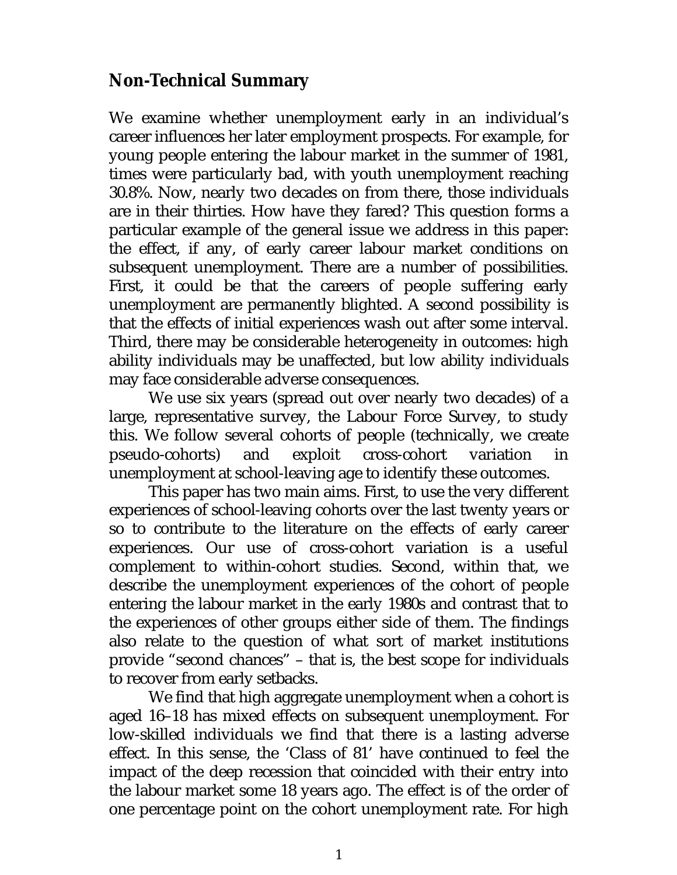### **Non-Technical Summary**

We examine whether unemployment early in an individual's career influences her later employment prospects. For example, for young people entering the labour market in the summer of 1981, times were particularly bad, with youth unemployment reaching 30.8%. Now, nearly two decades on from there, those individuals are in their thirties. How have they fared? This question forms a particular example of the general issue we address in this paper: the effect, if any, of early career labour market conditions on subsequent unemployment. There are a number of possibilities. First, it could be that the careers of people suffering early unemployment are permanently blighted. A second possibility is that the effects of initial experiences wash out after some interval. Third, there may be considerable heterogeneity in outcomes: high ability individuals may be unaffected, but low ability individuals may face considerable adverse consequences.

We use six years (spread out over nearly two decades) of a large, representative survey, the Labour Force Survey, to study this. We follow several cohorts of people (technically, we create pseudo-cohorts) and exploit cross-cohort variation in unemployment at school-leaving age to identify these outcomes.

This paper has two main aims. First, to use the very different experiences of school-leaving cohorts over the last twenty years or so to contribute to the literature on the effects of early career experiences. Our use of cross-cohort variation is a useful complement to within-cohort studies. Second, within that, we describe the unemployment experiences of the cohort of people entering the labour market in the early 1980s and contrast that to the experiences of other groups either side of them. The findings also relate to the question of what sort of market institutions provide "second chances" – that is, the best scope for individuals to recover from early setbacks.

We find that high aggregate unemployment when a cohort is aged 16–18 has mixed effects on subsequent unemployment. For low-skilled individuals we find that there is a lasting adverse effect. In this sense, the 'Class of 81' have continued to feel the impact of the deep recession that coincided with their entry into the labour market some 18 years ago. The effect is of the order of one percentage point on the cohort unemployment rate. For high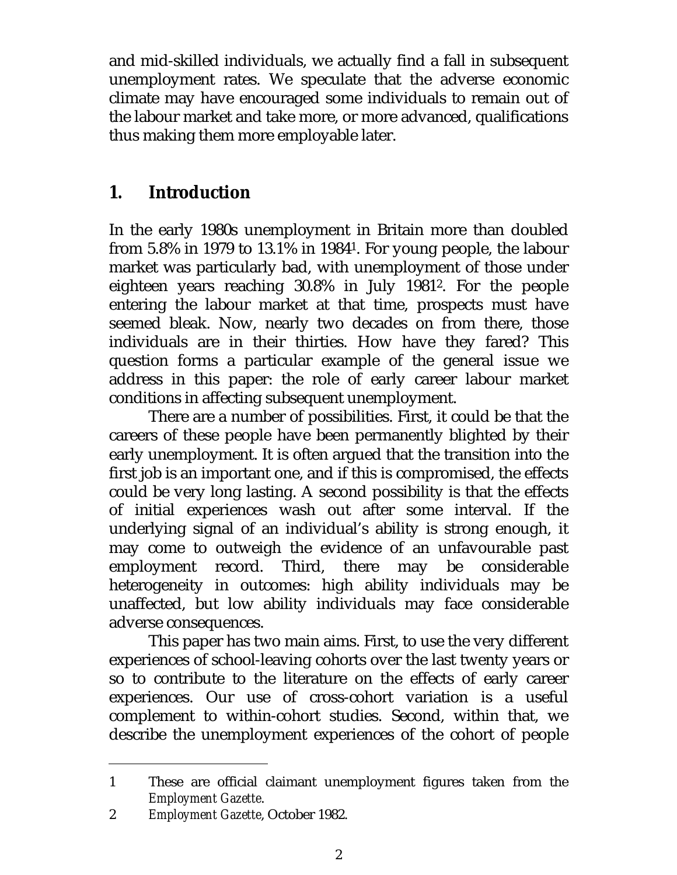and mid-skilled individuals, we actually find a fall in subsequent unemployment rates. We speculate that the adverse economic climate may have encouraged some individuals to remain out of the labour market and take more, or more advanced, qualifications thus making them more employable later.

## **1. Introduction**

In the early 1980s unemployment in Britain more than doubled from 5.8% in 1979 to 13.1% in 19841. For young people, the labour market was particularly bad, with unemployment of those under eighteen years reaching 30.8% in July 19812. For the people entering the labour market at that time, prospects must have seemed bleak. Now, nearly two decades on from there, those individuals are in their thirties. How have they fared? This question forms a particular example of the general issue we address in this paper: the role of early career labour market conditions in affecting subsequent unemployment.

There are a number of possibilities. First, it could be that the careers of these people have been permanently blighted by their early unemployment. It is often argued that the transition into the first job is an important one, and if this is compromised, the effects could be very long lasting. A second possibility is that the effects of initial experiences wash out after some interval. If the underlying signal of an individual's ability is strong enough, it may come to outweigh the evidence of an unfavourable past employment record. Third, there may be considerable heterogeneity in outcomes: high ability individuals may be unaffected, but low ability individuals may face considerable adverse consequences.

This paper has two main aims. First, to use the very different experiences of school-leaving cohorts over the last twenty years or so to contribute to the literature on the effects of early career experiences. Our use of cross-cohort variation is a useful complement to within-cohort studies. Second, within that, we describe the unemployment experiences of the cohort of people

<sup>1</sup> These are official claimant unemployment figures taken from the *Employment Gazette*.

<sup>2</sup> *Employment Gazette*, October 1982.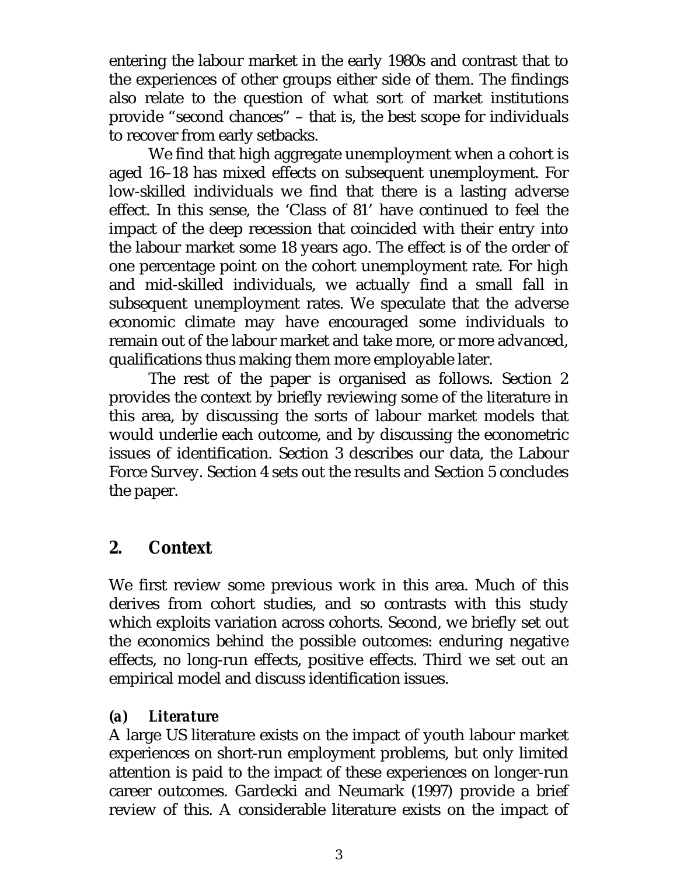entering the labour market in the early 1980s and contrast that to the experiences of other groups either side of them. The findings also relate to the question of what sort of market institutions provide "second chances" – that is, the best scope for individuals to recover from early setbacks.

We find that high aggregate unemployment when a cohort is aged 16–18 has mixed effects on subsequent unemployment. For low-skilled individuals we find that there is a lasting adverse effect. In this sense, the 'Class of 81' have continued to feel the impact of the deep recession that coincided with their entry into the labour market some 18 years ago. The effect is of the order of one percentage point on the cohort unemployment rate. For high and mid-skilled individuals, we actually find a small fall in subsequent unemployment rates. We speculate that the adverse economic climate may have encouraged some individuals to remain out of the labour market and take more, or more advanced, qualifications thus making them more employable later.

The rest of the paper is organised as follows. Section 2 provides the context by briefly reviewing some of the literature in this area, by discussing the sorts of labour market models that would underlie each outcome, and by discussing the econometric issues of identification. Section 3 describes our data, the Labour Force Survey. Section 4 sets out the results and Section 5 concludes the paper.

### **2. Context**

We first review some previous work in this area. Much of this derives from cohort studies, and so contrasts with this study which exploits variation across cohorts. Second, we briefly set out the economics behind the possible outcomes: enduring negative effects, no long-run effects, positive effects. Third we set out an empirical model and discuss identification issues.

#### *(a) Literature*

A large US literature exists on the impact of youth labour market experiences on short-run employment problems, but only limited attention is paid to the impact of these experiences on longer-run career outcomes. Gardecki and Neumark (1997) provide a brief review of this. A considerable literature exists on the impact of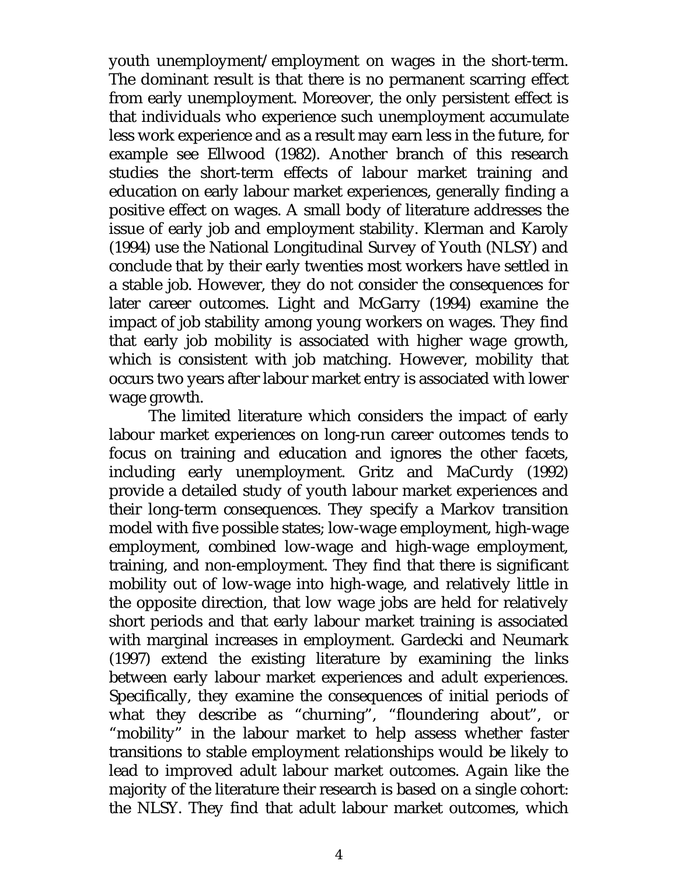youth unemployment/employment on wages in the short-term. The dominant result is that there is no permanent scarring effect from early unemployment. Moreover, the only persistent effect is that individuals who experience such unemployment accumulate less work experience and as a result may earn less in the future, for example see Ellwood (1982). Another branch of this research studies the short-term effects of labour market training and education on early labour market experiences, generally finding a positive effect on wages. A small body of literature addresses the issue of early job and employment stability. Klerman and Karoly (1994) use the National Longitudinal Survey of Youth (NLSY) and conclude that by their early twenties most workers have settled in a stable job. However, they do not consider the consequences for later career outcomes. Light and McGarry (1994) examine the impact of job stability among young workers on wages. They find that early job mobility is associated with higher wage growth, which is consistent with job matching. However, mobility that occurs two years after labour market entry is associated with lower wage growth.

The limited literature which considers the impact of early labour market experiences on long-run career outcomes tends to focus on training and education and ignores the other facets, including early unemployment. Gritz and MaCurdy (1992) provide a detailed study of youth labour market experiences and their long-term consequences. They specify a Markov transition model with five possible states; low-wage employment, high-wage employment, combined low-wage and high-wage employment, training, and non-employment. They find that there is significant mobility out of low-wage into high-wage, and relatively little in the opposite direction, that low wage jobs are held for relatively short periods and that early labour market training is associated with marginal increases in employment. Gardecki and Neumark (1997) extend the existing literature by examining the links between early labour market experiences and adult experiences. Specifically, they examine the consequences of initial periods of what they describe as "churning", "floundering about", or "mobility" in the labour market to help assess whether faster transitions to stable employment relationships would be likely to lead to improved adult labour market outcomes. Again like the majority of the literature their research is based on a single cohort: the NLSY. They find that adult labour market outcomes, which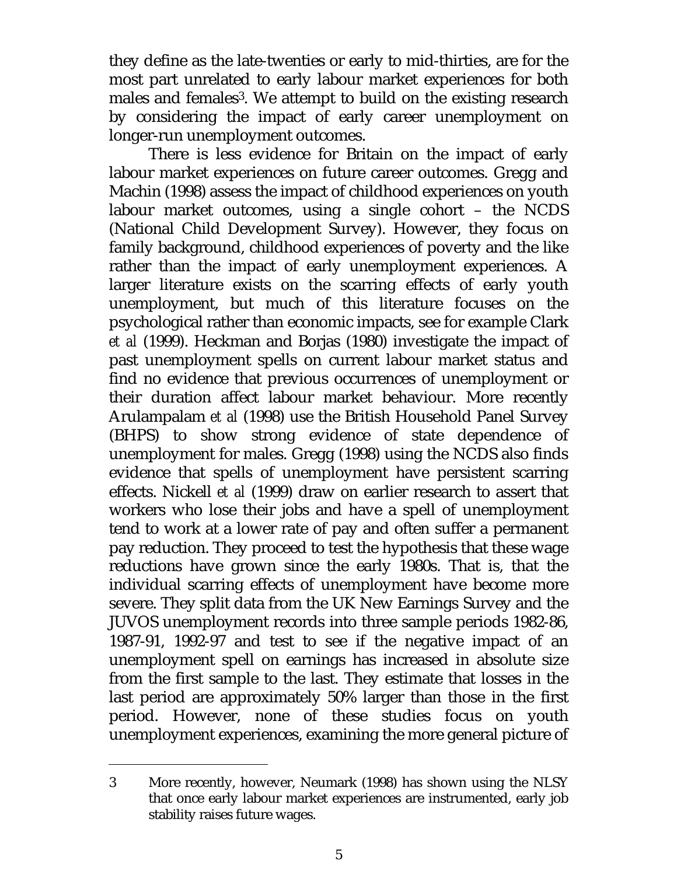they define as the late-twenties or early to mid-thirties, are for the most part unrelated to early labour market experiences for both males and females3. We attempt to build on the existing research by considering the impact of early career unemployment on longer-run unemployment outcomes.

There is less evidence for Britain on the impact of early labour market experiences on future career outcomes. Gregg and Machin (1998) assess the impact of childhood experiences on youth labour market outcomes, using a single cohort – the NCDS (National Child Development Survey). However, they focus on family background, childhood experiences of poverty and the like rather than the impact of early unemployment experiences. A larger literature exists on the scarring effects of early youth unemployment, but much of this literature focuses on the psychological rather than economic impacts, see for example Clark *et al* (1999). Heckman and Borjas (1980) investigate the impact of past unemployment spells on current labour market status and find no evidence that previous occurrences of unemployment or their duration affect labour market behaviour. More recently Arulampalam *et al* (1998) use the British Household Panel Survey (BHPS) to show strong evidence of state dependence of unemployment for males. Gregg (1998) using the NCDS also finds evidence that spells of unemployment have persistent scarring effects. Nickell *et al* (1999) draw on earlier research to assert that workers who lose their jobs and have a spell of unemployment tend to work at a lower rate of pay and often suffer a permanent pay reduction. They proceed to test the hypothesis that these wage reductions have grown since the early 1980s. That is, that the individual scarring effects of unemployment have become more severe. They split data from the UK New Earnings Survey and the JUVOS unemployment records into three sample periods 1982-86, 1987-91, 1992-97 and test to see if the negative impact of an unemployment spell on earnings has increased in absolute size from the first sample to the last. They estimate that losses in the last period are approximately 50% larger than those in the first period. However, none of these studies focus on youth unemployment experiences, examining the more general picture of

j

<sup>3</sup> More recently, however, Neumark (1998) has shown using the NLSY that once early labour market experiences are instrumented, early job stability raises future wages.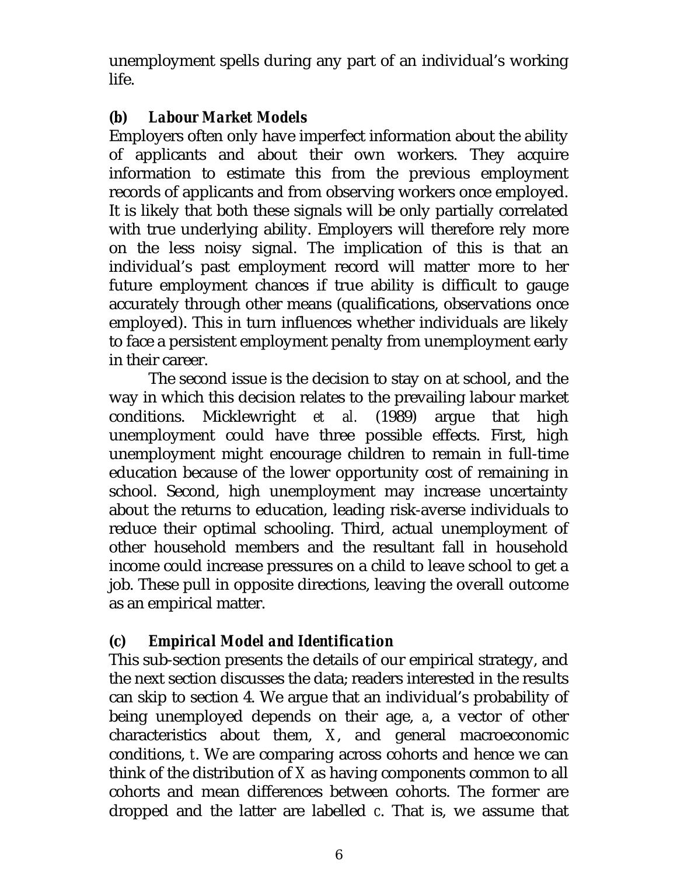unemployment spells during any part of an individual's working life.

#### *(b) Labour Market Models*

Employers often only have imperfect information about the ability of applicants and about their own workers. They acquire information to estimate this from the previous employment records of applicants and from observing workers once employed. It is likely that both these signals will be only partially correlated with true underlying ability. Employers will therefore rely more on the less noisy signal. The implication of this is that an individual's past employment record will matter more to her future employment chances if true ability is difficult to gauge accurately through other means (qualifications, observations once employed). This in turn influences whether individuals are likely to face a persistent employment penalty from unemployment early in their career.

The second issue is the decision to stay on at school, and the way in which this decision relates to the prevailing labour market conditions. Micklewright *et al.* (1989) argue that high unemployment could have three possible effects. First, high unemployment might encourage children to remain in full-time education because of the lower opportunity cost of remaining in school. Second, high unemployment may increase uncertainty about the returns to education, leading risk-averse individuals to reduce their optimal schooling. Third, actual unemployment of other household members and the resultant fall in household income could increase pressures on a child to leave school to get a job. These pull in opposite directions, leaving the overall outcome as an empirical matter.

### *(c) Empirical Model and Identification*

This sub-section presents the details of our empirical strategy, and the next section discusses the data; readers interested in the results can skip to section 4. We argue that an individual's probability of being unemployed depends on their age, *a*, a vector of other characteristics about them, *X*, and general macroeconomic conditions, *t*. We are comparing across cohorts and hence we can think of the distribution of *X* as having components common to all cohorts and mean differences between cohorts. The former are dropped and the latter are labelled *c*. That is, we assume that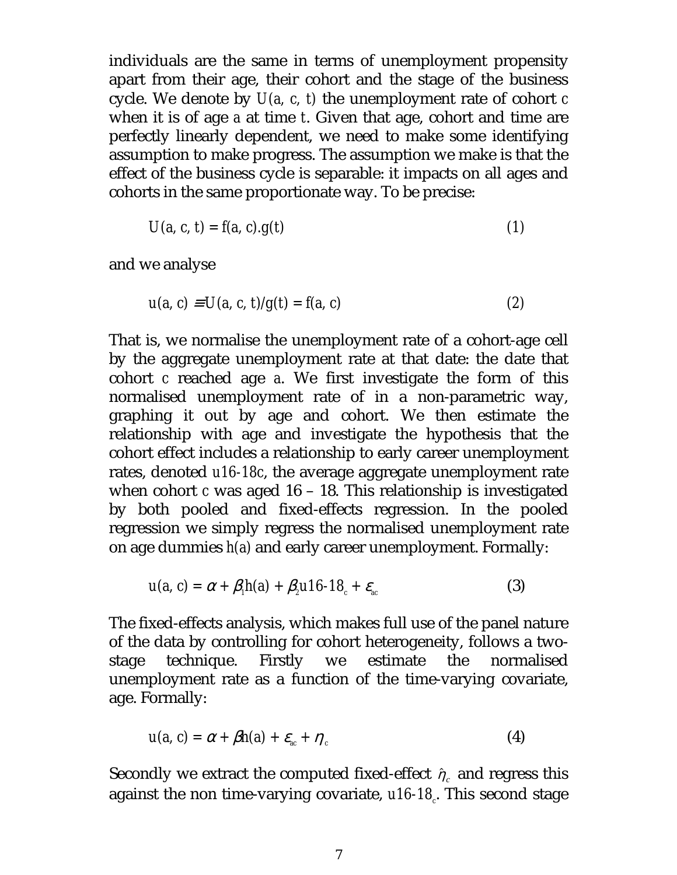individuals are the same in terms of unemployment propensity apart from their age, their cohort and the stage of the business cycle. We denote by *U(a, c, t)* the unemployment rate of cohort *c* when it is of age *a* at time *t*. Given that age, cohort and time are perfectly linearly dependent, we need to make some identifying assumption to make progress. The assumption we make is that the effect of the business cycle is separable: it impacts on all ages and cohorts in the same proportionate way. To be precise:

$$
U(a, c, t) = f(a, c).g(t)
$$
 (1)

and we analyse

$$
u(a, c) \equiv U(a, c, t)/g(t) = f(a, c)
$$
 (2)

That is, we normalise the unemployment rate of a cohort-age cell by the aggregate unemployment rate at that date: the date that cohort *c* reached age *a*. We first investigate the form of this normalised unemployment rate of in a non-parametric way, graphing it out by age and cohort. We then estimate the relationship with age and investigate the hypothesis that the cohort effect includes a relationship to early career unemployment rates, denoted *u16-18c*, the average aggregate unemployment rate when cohort *c* was aged 16 – 18. This relationship is investigated by both pooled and fixed-effects regression. In the pooled regression we simply regress the normalised unemployment rate on age dummies *h(a)* and early career unemployment. Formally:

$$
u(a, c) = \alpha + \beta_1 h(a) + \beta_2 u 16 - 18_c + \varepsilon_{ac}
$$
 (3)

The fixed-effects analysis, which makes full use of the panel nature of the data by controlling for cohort heterogeneity, follows a twostage technique. Firstly we estimate the normalised unemployment rate as a function of the time-varying covariate, age. Formally:

$$
u(a, c) = \alpha + \beta h(a) + \varepsilon_{ac} + \eta_c \tag{4}
$$

Secondly we extract the computed fixed-effect  $\hat{\eta}_c$  and regress this against the non time-varying covariate, *u16-18<sub>c</sub>*. This second stage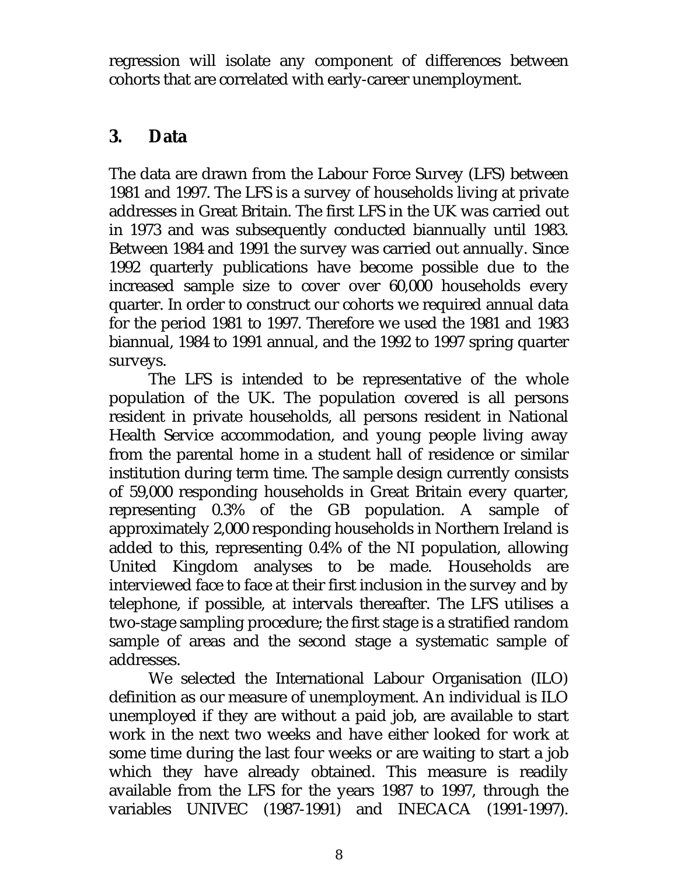regression will isolate any component of differences between cohorts that are correlated with early-career unemployment.

### **3. Data**

The data are drawn from the Labour Force Survey (LFS) between 1981 and 1997. The LFS is a survey of households living at private addresses in Great Britain. The first LFS in the UK was carried out in 1973 and was subsequently conducted biannually until 1983. Between 1984 and 1991 the survey was carried out annually. Since 1992 quarterly publications have become possible due to the increased sample size to cover over 60,000 households every quarter. In order to construct our cohorts we required annual data for the period 1981 to 1997. Therefore we used the 1981 and 1983 biannual, 1984 to 1991 annual, and the 1992 to 1997 spring quarter surveys.

The LFS is intended to be representative of the whole population of the UK. The population covered is all persons resident in private households, all persons resident in National Health Service accommodation, and young people living away from the parental home in a student hall of residence or similar institution during term time. The sample design currently consists of 59,000 responding households in Great Britain every quarter, representing 0.3% of the GB population. A sample of approximately 2,000 responding households in Northern Ireland is added to this, representing 0.4% of the NI population, allowing United Kingdom analyses to be made. Households are interviewed face to face at their first inclusion in the survey and by telephone, if possible, at intervals thereafter. The LFS utilises a two-stage sampling procedure; the first stage is a stratified random sample of areas and the second stage a systematic sample of addresses.

We selected the International Labour Organisation (ILO) definition as our measure of unemployment. An individual is ILO unemployed if they are without a paid job, are available to start work in the next two weeks and have either looked for work at some time during the last four weeks or are waiting to start a job which they have already obtained. This measure is readily available from the LFS for the years 1987 to 1997, through the variables UNIVEC (1987-1991) and INECACA (1991-1997).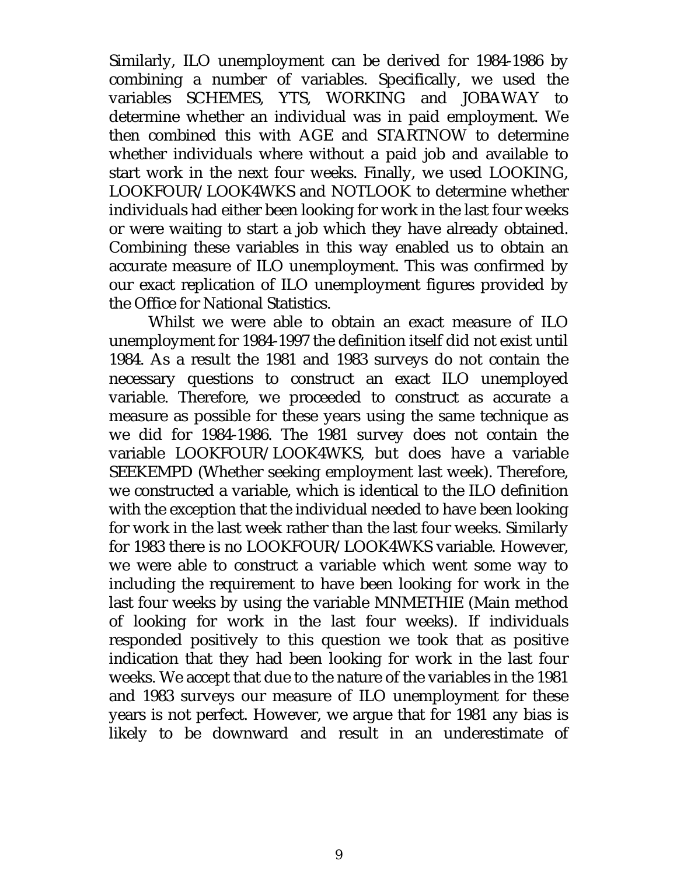Similarly, ILO unemployment can be derived for 1984-1986 by combining a number of variables. Specifically, we used the variables SCHEMES, YTS, WORKING and JOBAWAY to determine whether an individual was in paid employment. We then combined this with AGE and STARTNOW to determine whether individuals where without a paid job and available to start work in the next four weeks. Finally, we used LOOKING, LOOKFOUR/LOOK4WKS and NOTLOOK to determine whether individuals had either been looking for work in the last four weeks or were waiting to start a job which they have already obtained. Combining these variables in this way enabled us to obtain an accurate measure of ILO unemployment. This was confirmed by our exact replication of ILO unemployment figures provided by the Office for National Statistics.

Whilst we were able to obtain an exact measure of ILO unemployment for 1984-1997 the definition itself did not exist until 1984. As a result the 1981 and 1983 surveys do not contain the necessary questions to construct an exact ILO unemployed variable. Therefore, we proceeded to construct as accurate a measure as possible for these years using the same technique as we did for 1984-1986. The 1981 survey does not contain the variable LOOKFOUR/LOOK4WKS, but does have a variable SEEKEMPD (Whether seeking employment last week). Therefore, we constructed a variable, which is identical to the ILO definition with the exception that the individual needed to have been looking for work in the last week rather than the last four weeks. Similarly for 1983 there is no LOOKFOUR/LOOK4WKS variable. However, we were able to construct a variable which went some way to including the requirement to have been looking for work in the last four weeks by using the variable MNMETHIE (Main method of looking for work in the last four weeks). If individuals responded positively to this question we took that as positive indication that they had been looking for work in the last four weeks. We accept that due to the nature of the variables in the 1981 and 1983 surveys our measure of ILO unemployment for these years is not perfect. However, we argue that for 1981 any bias is likely to be downward and result in an underestimate of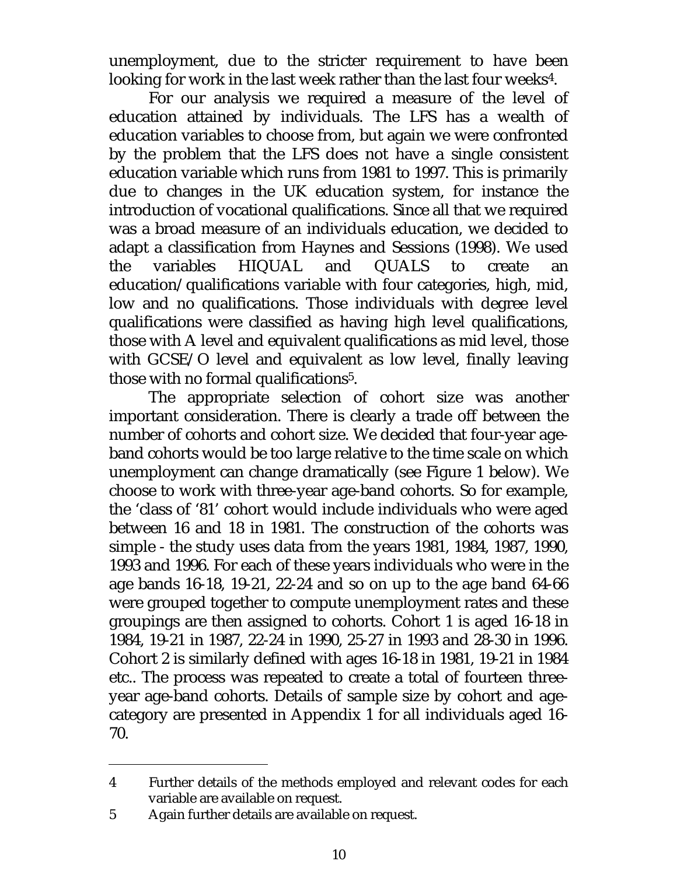unemployment, due to the stricter requirement to have been looking for work in the last week rather than the last four weeks<sup>4</sup>.

For our analysis we required a measure of the level of education attained by individuals. The LFS has a wealth of education variables to choose from, but again we were confronted by the problem that the LFS does not have a single consistent education variable which runs from 1981 to 1997. This is primarily due to changes in the UK education system, for instance the introduction of vocational qualifications. Since all that we required was a broad measure of an individuals education, we decided to adapt a classification from Haynes and Sessions (1998). We used the variables HIQUAL and QUALS to create an education/qualifications variable with four categories, high, mid, low and no qualifications. Those individuals with degree level qualifications were classified as having high level qualifications, those with A level and equivalent qualifications as mid level, those with GCSE/O level and equivalent as low level, finally leaving those with no formal qualifications5.

The appropriate selection of cohort size was another important consideration. There is clearly a trade off between the number of cohorts and cohort size. We decided that four-year ageband cohorts would be too large relative to the time scale on which unemployment can change dramatically (see Figure 1 below). We choose to work with three-year age-band cohorts. So for example, the 'class of '81' cohort would include individuals who were aged between 16 and 18 in 1981. The construction of the cohorts was simple - the study uses data from the years 1981, 1984, 1987, 1990, 1993 and 1996. For each of these years individuals who were in the age bands 16-18, 19-21, 22-24 and so on up to the age band 64-66 were grouped together to compute unemployment rates and these groupings are then assigned to cohorts. Cohort 1 is aged 16-18 in 1984, 19-21 in 1987, 22-24 in 1990, 25-27 in 1993 and 28-30 in 1996. Cohort 2 is similarly defined with ages 16-18 in 1981, 19-21 in 1984 etc.. The process was repeated to create a total of fourteen threeyear age-band cohorts. Details of sample size by cohort and agecategory are presented in Appendix 1 for all individuals aged 16- 70.

j

<sup>4</sup> Further details of the methods employed and relevant codes for each variable are available on request.

<sup>5</sup> Again further details are available on request.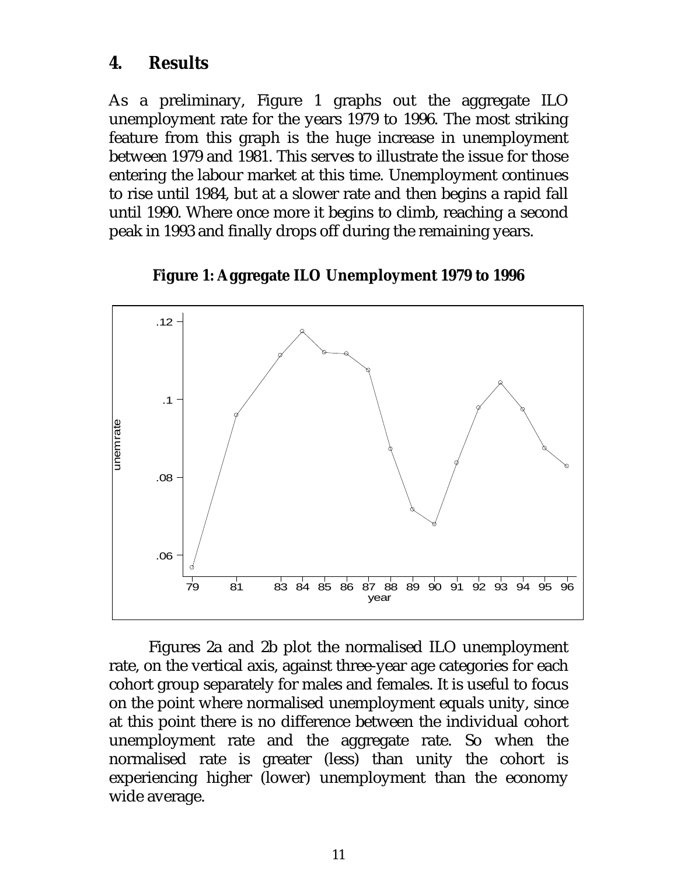#### **4. Results**

As a preliminary, Figure 1 graphs out the aggregate ILO unemployment rate for the years 1979 to 1996. The most striking feature from this graph is the huge increase in unemployment between 1979 and 1981. This serves to illustrate the issue for those entering the labour market at this time. Unemployment continues to rise until 1984, but at a slower rate and then begins a rapid fall until 1990. Where once more it begins to climb, reaching a second peak in 1993 and finally drops off during the remaining years.



**Figure 1: Aggregate ILO Unemployment 1979 to 1996**

Figures 2a and 2b plot the normalised ILO unemployment rate, on the vertical axis, against three-year age categories for each cohort group separately for males and females. It is useful to focus on the point where normalised unemployment equals unity, since at this point there is no difference between the individual cohort unemployment rate and the aggregate rate. So when the normalised rate is greater (less) than unity the cohort is experiencing higher (lower) unemployment than the economy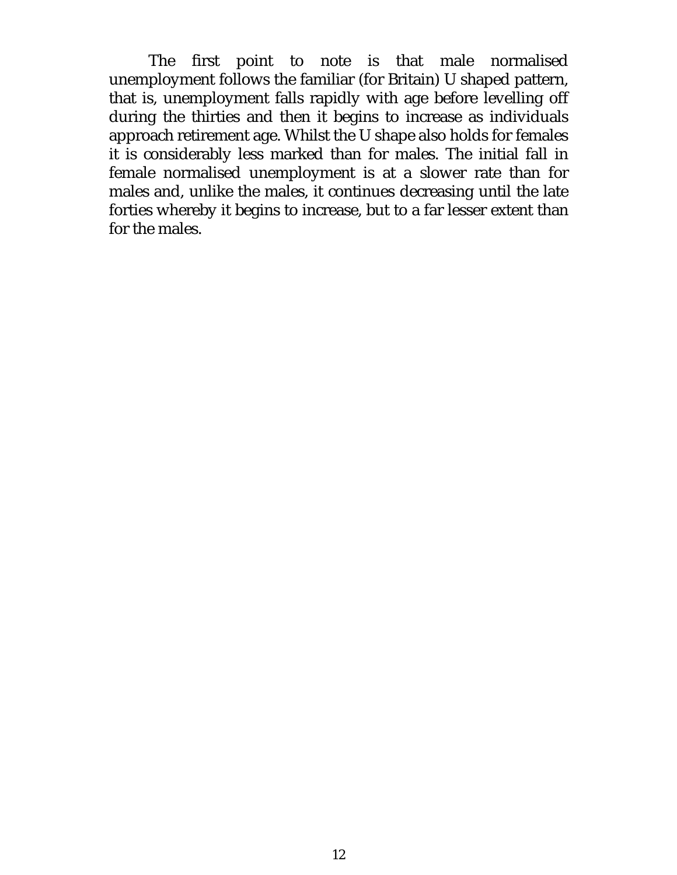The first point to note is that male normalised unemployment follows the familiar (for Britain) U shaped pattern, that is, unemployment falls rapidly with age before levelling off during the thirties and then it begins to increase as individuals approach retirement age. Whilst the U shape also holds for females it is considerably less marked than for males. The initial fall in female normalised unemployment is at a slower rate than for males and, unlike the males, it continues decreasing until the late forties whereby it begins to increase, but to a far lesser extent than for the males.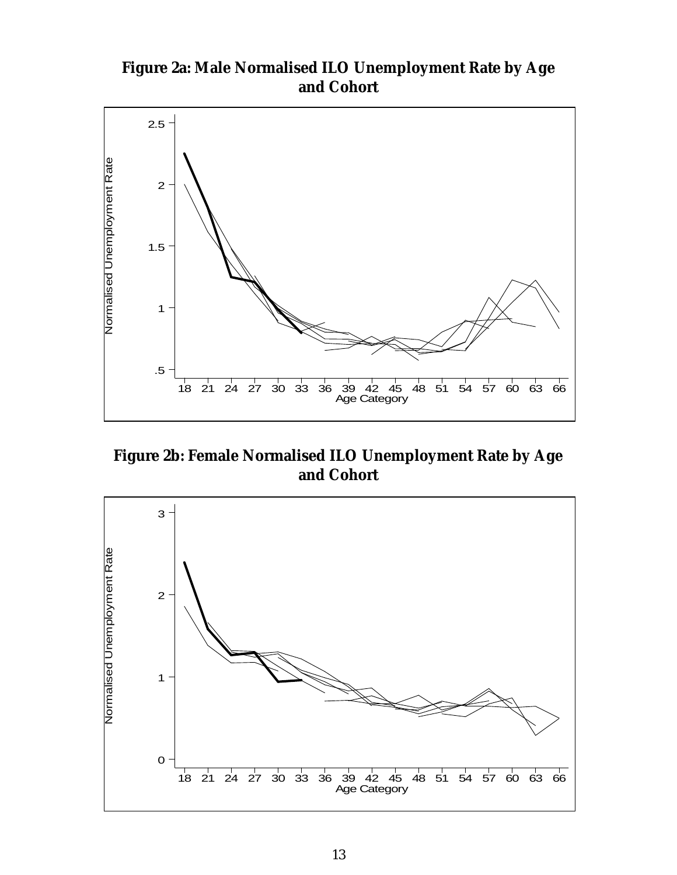**Figure 2a: Male Normalised ILO Unemployment Rate by Age and Cohort**



**Figure 2b: Female Normalised ILO Unemployment Rate by Age and Cohort**

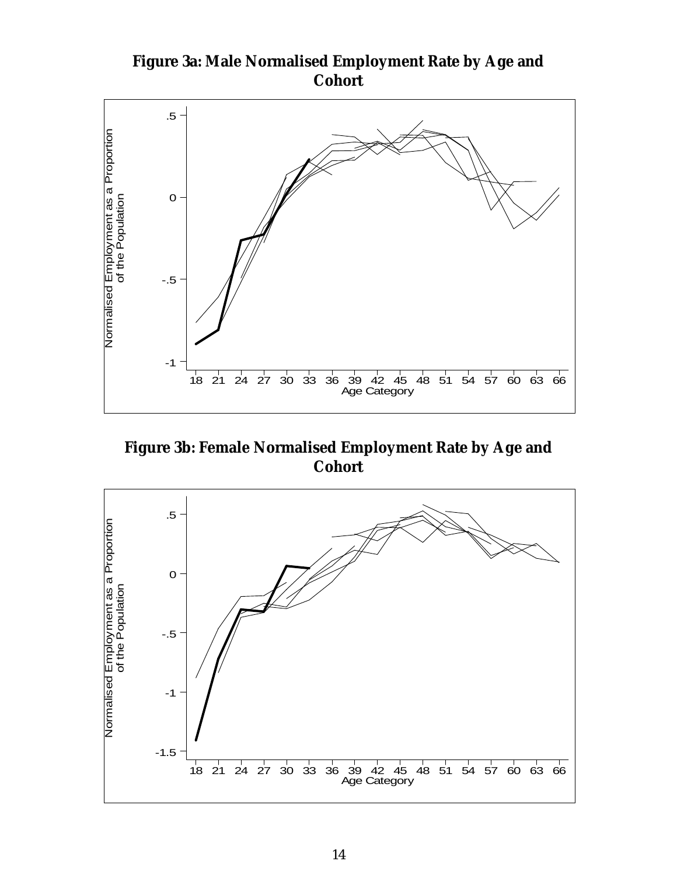

**Figure 3b: Female Normalised Employment Rate by Age and Cohort**



**Figure 3a: Male Normalised Employment Rate by Age and Cohort**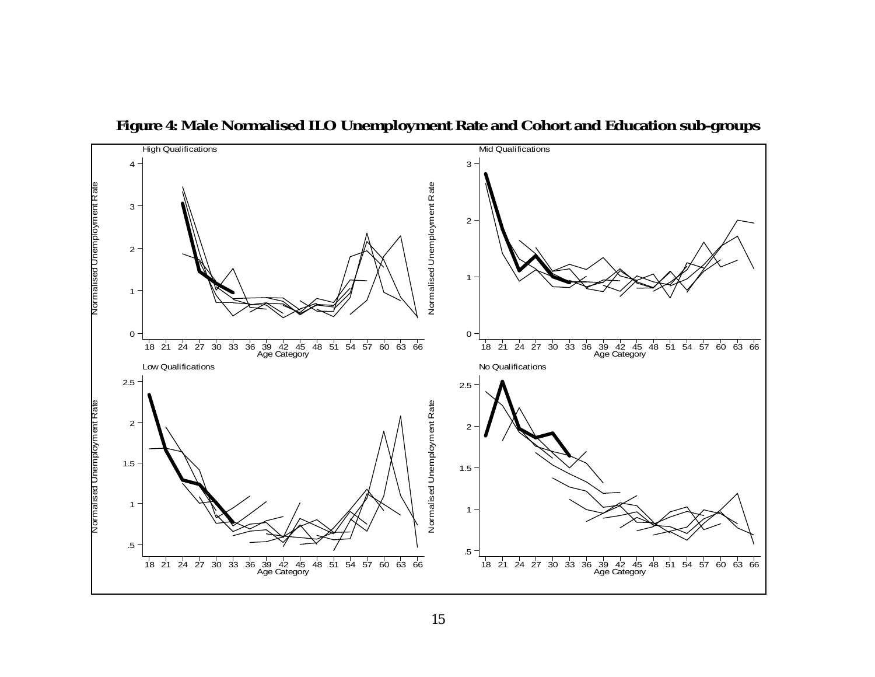

**Figure 4: Male Normalised ILO Unemployment Rate and Cohort and Education sub-groups**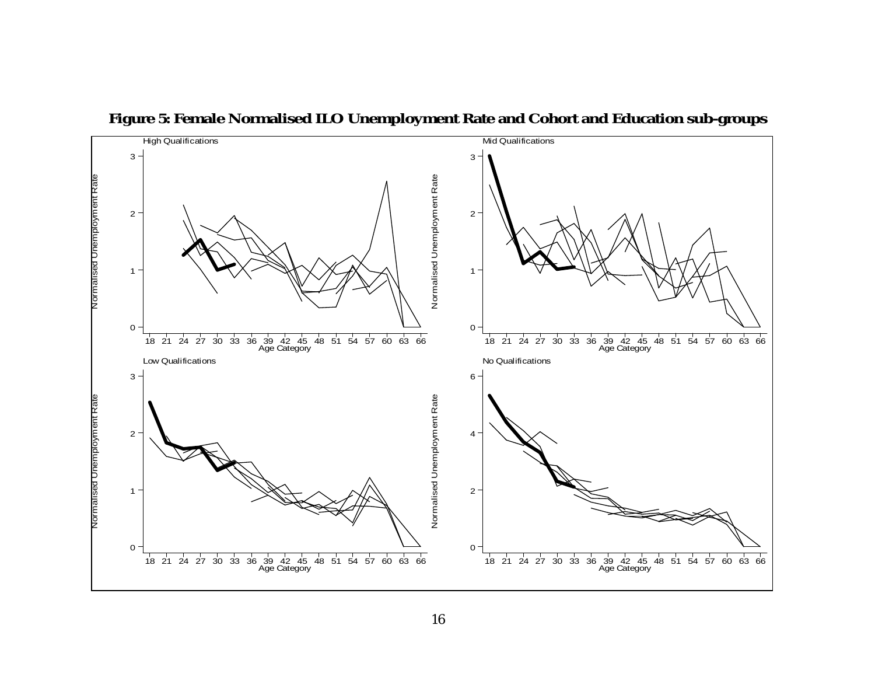

**Figure 5: Female Normalised ILO Unemployment Rate and Cohort and Education sub-groups**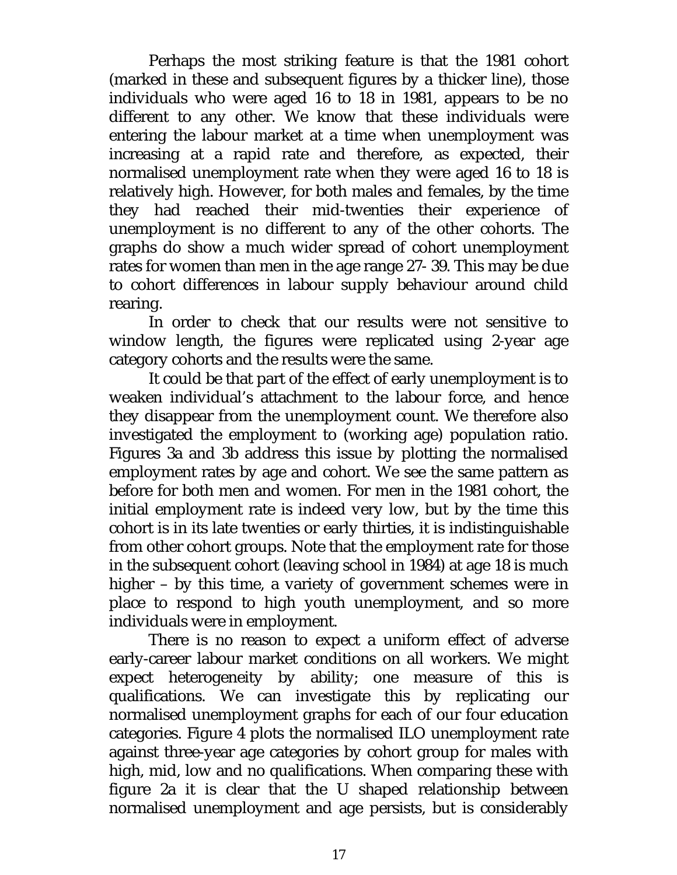Perhaps the most striking feature is that the 1981 cohort (marked in these and subsequent figures by a thicker line), those individuals who were aged 16 to 18 in 1981, appears to be no different to any other. We know that these individuals were entering the labour market at a time when unemployment was increasing at a rapid rate and therefore, as expected, their normalised unemployment rate when they were aged 16 to 18 is relatively high. However, for both males and females, by the time they had reached their mid-twenties their experience of unemployment is no different to any of the other cohorts. The graphs do show a much wider spread of cohort unemployment rates for women than men in the age range 27- 39. This may be due to cohort differences in labour supply behaviour around child rearing.

In order to check that our results were not sensitive to window length, the figures were replicated using 2-year age category cohorts and the results were the same.

It could be that part of the effect of early unemployment is to weaken individual's attachment to the labour force, and hence they disappear from the unemployment count. We therefore also investigated the employment to (working age) population ratio. Figures 3a and 3b address this issue by plotting the normalised employment rates by age and cohort. We see the same pattern as before for both men and women. For men in the 1981 cohort, the initial employment rate is indeed very low, but by the time this cohort is in its late twenties or early thirties, it is indistinguishable from other cohort groups. Note that the employment rate for those in the subsequent cohort (leaving school in 1984) at age 18 is much higher – by this time, a variety of government schemes were in place to respond to high youth unemployment, and so more individuals were in employment.

There is no reason to expect a uniform effect of adverse early-career labour market conditions on all workers. We might expect heterogeneity by ability; one measure of this is qualifications. We can investigate this by replicating our normalised unemployment graphs for each of our four education categories. Figure 4 plots the normalised ILO unemployment rate against three-year age categories by cohort group for males with high, mid, low and no qualifications. When comparing these with figure 2a it is clear that the U shaped relationship between normalised unemployment and age persists, but is considerably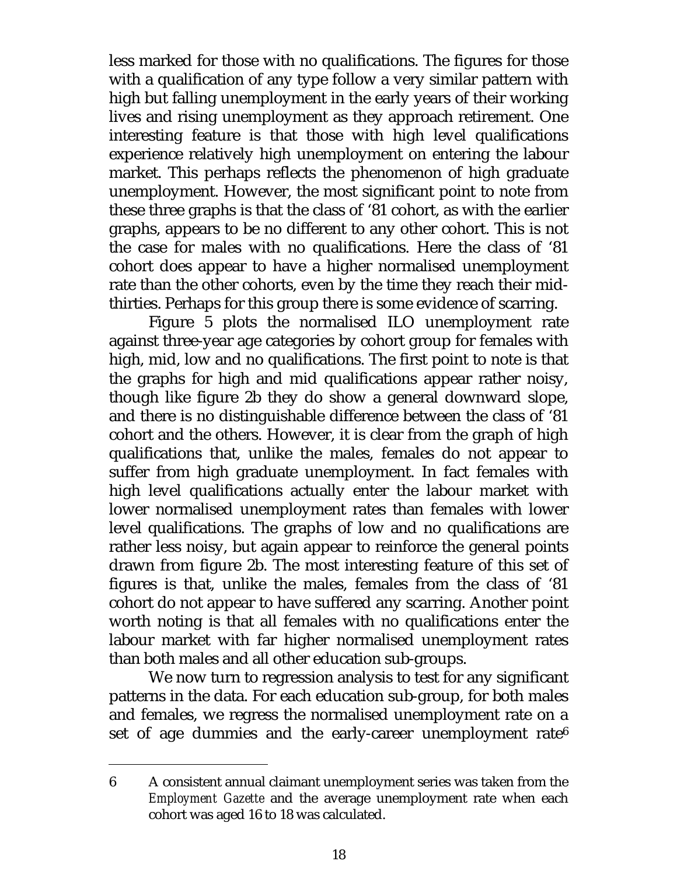less marked for those with no qualifications. The figures for those with a qualification of any type follow a very similar pattern with high but falling unemployment in the early years of their working lives and rising unemployment as they approach retirement. One interesting feature is that those with high level qualifications experience relatively high unemployment on entering the labour market. This perhaps reflects the phenomenon of high graduate unemployment. However, the most significant point to note from these three graphs is that the class of '81 cohort, as with the earlier graphs, appears to be no different to any other cohort. This is not the case for males with no qualifications. Here the class of '81 cohort does appear to have a higher normalised unemployment rate than the other cohorts, even by the time they reach their midthirties. Perhaps for this group there is some evidence of scarring.

Figure 5 plots the normalised ILO unemployment rate against three-year age categories by cohort group for females with high, mid, low and no qualifications. The first point to note is that the graphs for high and mid qualifications appear rather noisy, though like figure 2b they do show a general downward slope, and there is no distinguishable difference between the class of '81 cohort and the others. However, it is clear from the graph of high qualifications that, unlike the males, females do not appear to suffer from high graduate unemployment. In fact females with high level qualifications actually enter the labour market with lower normalised unemployment rates than females with lower level qualifications. The graphs of low and no qualifications are rather less noisy, but again appear to reinforce the general points drawn from figure 2b. The most interesting feature of this set of figures is that, unlike the males, females from the class of '81 cohort do not appear to have suffered any scarring. Another point worth noting is that all females with no qualifications enter the labour market with far higher normalised unemployment rates than both males and all other education sub-groups.

We now turn to regression analysis to test for any significant patterns in the data. For each education sub-group, for both males and females, we regress the normalised unemployment rate on a set of age dummies and the early-career unemployment rate<sup>6</sup>

<sup>6</sup> A consistent annual claimant unemployment series was taken from the *Employment Gazette* and the average unemployment rate when each cohort was aged 16 to 18 was calculated.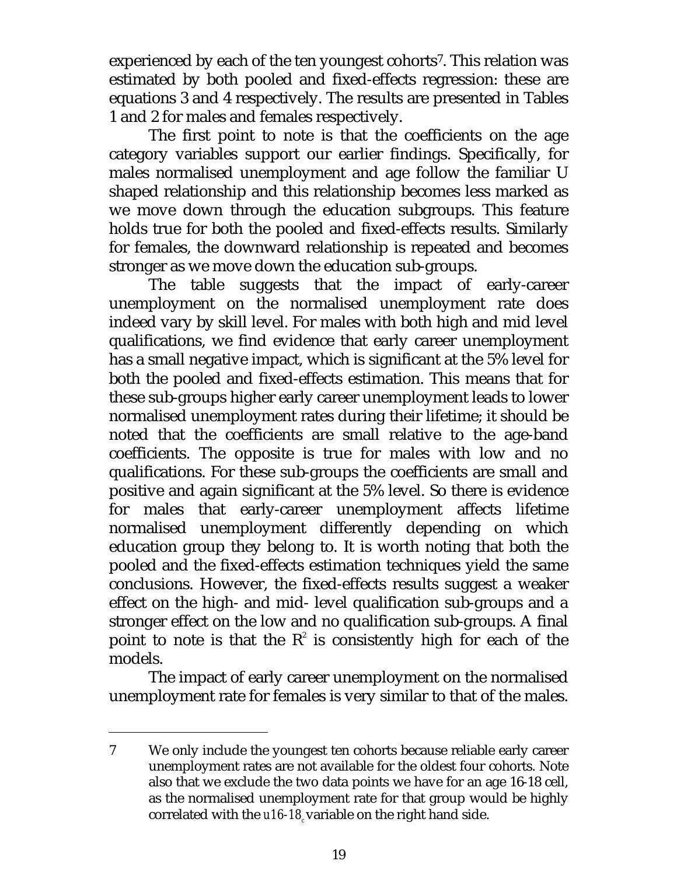experienced by each of the ten youngest cohorts7. This relation was estimated by both pooled and fixed-effects regression: these are equations 3 and 4 respectively. The results are presented in Tables 1 and 2 for males and females respectively.

The first point to note is that the coefficients on the age category variables support our earlier findings. Specifically, for males normalised unemployment and age follow the familiar U shaped relationship and this relationship becomes less marked as we move down through the education subgroups. This feature holds true for both the pooled and fixed-effects results. Similarly for females, the downward relationship is repeated and becomes stronger as we move down the education sub-groups.

The table suggests that the impact of early-career unemployment on the normalised unemployment rate does indeed vary by skill level. For males with both high and mid level qualifications, we find evidence that early career unemployment has a small negative impact, which is significant at the 5% level for both the pooled and fixed-effects estimation. This means that for these sub-groups higher early career unemployment leads to lower normalised unemployment rates during their lifetime; it should be noted that the coefficients are small relative to the age-band coefficients. The opposite is true for males with low and no qualifications. For these sub-groups the coefficients are small and positive and again significant at the 5% level. So there is evidence for males that early-career unemployment affects lifetime normalised unemployment differently depending on which education group they belong to. It is worth noting that both the pooled and the fixed-effects estimation techniques yield the same conclusions. However, the fixed-effects results suggest a weaker effect on the high- and mid- level qualification sub-groups and a stronger effect on the low and no qualification sub-groups. A final point to note is that the  $R^2$  is consistently high for each of the models.

The impact of early career unemployment on the normalised unemployment rate for females is very similar to that of the males.

<sup>7</sup> We only include the youngest ten cohorts because reliable early career unemployment rates are not available for the oldest four cohorts. Note also that we exclude the two data points we have for an age 16-18 cell, as the normalised unemployment rate for that group would be highly correlated with the *u16-18*, variable on the right hand side.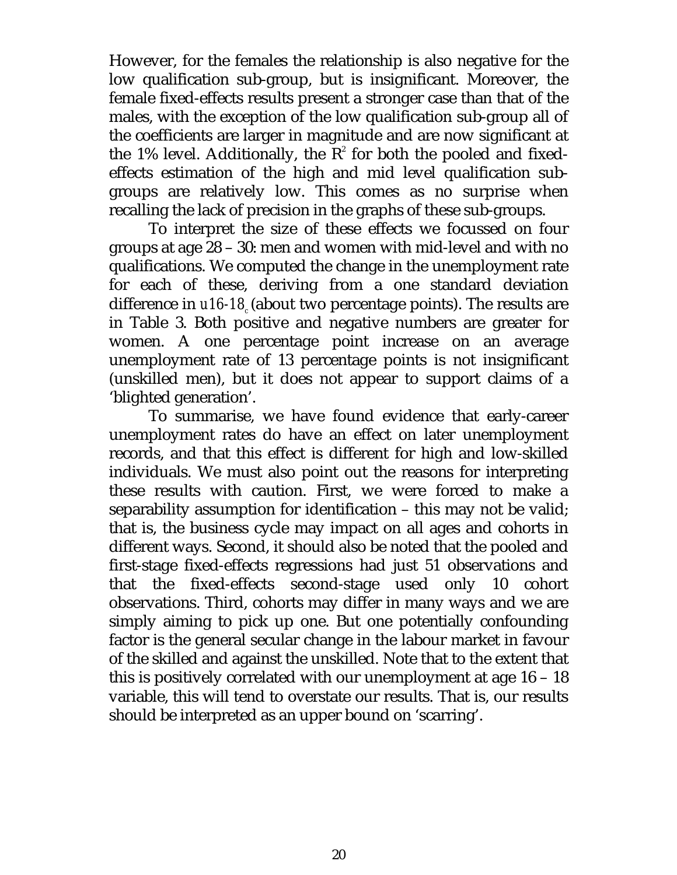However, for the females the relationship is also negative for the low qualification sub-group, but is insignificant. Moreover, the female fixed-effects results present a stronger case than that of the males, with the exception of the low qualification sub-group all of the coefficients are larger in magnitude and are now significant at the 1% level. Additionally, the  $R^2$  for both the pooled and fixedeffects estimation of the high and mid level qualification subgroups are relatively low. This comes as no surprise when recalling the lack of precision in the graphs of these sub-groups.

To interpret the size of these effects we focussed on four groups at age 28 – 30: men and women with mid-level and with no qualifications. We computed the change in the unemployment rate for each of these, deriving from a one standard deviation difference in *u16-18* (about two percentage points). The results are in Table 3. Both positive and negative numbers are greater for women. A one percentage point increase on an average unemployment rate of 13 percentage points is not insignificant (unskilled men), but it does not appear to support claims of a 'blighted generation'.

To summarise, we have found evidence that early-career unemployment rates do have an effect on later unemployment records, and that this effect is different for high and low-skilled individuals. We must also point out the reasons for interpreting these results with caution. First, we were forced to make a separability assumption for identification – this may not be valid; that is, the business cycle may impact on all ages and cohorts in different ways. Second, it should also be noted that the pooled and first-stage fixed-effects regressions had just 51 observations and that the fixed-effects second-stage used only 10 cohort observations. Third, cohorts may differ in many ways and we are simply aiming to pick up one. But one potentially confounding factor is the general secular change in the labour market in favour of the skilled and against the unskilled. Note that to the extent that this is positively correlated with our unemployment at age 16 – 18 variable, this will tend to overstate our results. That is, our results should be interpreted as an upper bound on 'scarring'.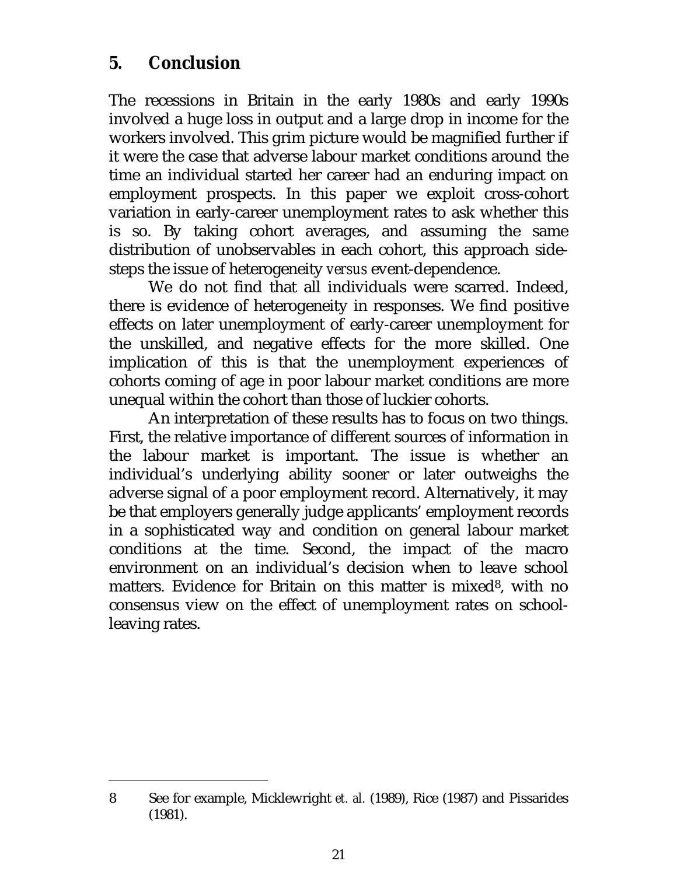### **5. Conclusion**

The recessions in Britain in the early 1980s and early 1990s involved a huge loss in output and a large drop in income for the workers involved. This grim picture would be magnified further if it were the case that adverse labour market conditions around the time an individual started her career had an enduring impact on employment prospects. In this paper we exploit cross-cohort variation in early-career unemployment rates to ask whether this is so. By taking cohort averages, and assuming the same distribution of unobservables in each cohort, this approach sidesteps the issue of heterogeneity *versus* event-dependence.

We do not find that all individuals were scarred. Indeed, there is evidence of heterogeneity in responses. We find positive effects on later unemployment of early-career unemployment for the unskilled, and negative effects for the more skilled. One implication of this is that the unemployment experiences of cohorts coming of age in poor labour market conditions are more unequal within the cohort than those of luckier cohorts.

An interpretation of these results has to focus on two things. First, the relative importance of different sources of information in the labour market is important. The issue is whether an individual's underlying ability sooner or later outweighs the adverse signal of a poor employment record. Alternatively, it may be that employers generally judge applicants' employment records in a sophisticated way and condition on general labour market conditions at the time. Second, the impact of the macro environment on an individual's decision when to leave school matters. Evidence for Britain on this matter is mixed<sup>8</sup>, with no consensus view on the effect of unemployment rates on schoolleaving rates.

<sup>8</sup> See for example, Micklewright *et. al.* (1989), Rice (1987) and Pissarides (1981).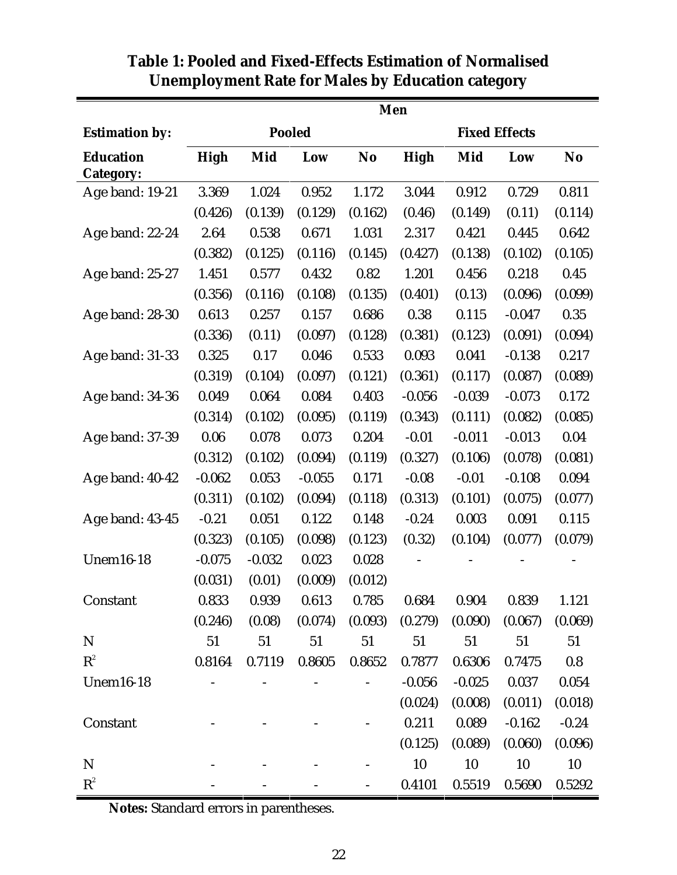|                                      | Men         |          |               |                |                      |          |          |                |  |  |  |
|--------------------------------------|-------------|----------|---------------|----------------|----------------------|----------|----------|----------------|--|--|--|
| <b>Estimation by:</b>                |             |          | <b>Pooled</b> |                | <b>Fixed Effects</b> |          |          |                |  |  |  |
| <b>Education</b><br><b>Category:</b> | <b>High</b> | Mid      | Low           | N <sub>o</sub> | <b>High</b>          | Mid      | Low      | N <sub>o</sub> |  |  |  |
| Age band: 19-21                      | 3.369       | 1.024    | 0.952         | 1.172          | 3.044                | 0.912    | 0.729    | 0.811          |  |  |  |
|                                      | (0.426)     | (0.139)  | (0.129)       | (0.162)        | (0.46)               | (0.149)  | (0.11)   | (0.114)        |  |  |  |
| Age band: 22-24                      | 2.64        | 0.538    | 0.671         | 1.031          | 2.317                | 0.421    | 0.445    | 0.642          |  |  |  |
|                                      | (0.382)     | (0.125)  | (0.116)       | (0.145)        | (0.427)              | (0.138)  | (0.102)  | (0.105)        |  |  |  |
| Age band: 25-27                      | 1.451       | 0.577    | 0.432         | 0.82           | 1.201                | 0.456    | 0.218    | 0.45           |  |  |  |
|                                      | (0.356)     | (0.116)  | (0.108)       | (0.135)        | (0.401)              | (0.13)   | (0.096)  | (0.099)        |  |  |  |
| Age band: 28-30                      | 0.613       | 0.257    | 0.157         | 0.686          | 0.38                 | 0.115    | $-0.047$ | 0.35           |  |  |  |
|                                      | (0.336)     | (0.11)   | (0.097)       | (0.128)        | (0.381)              | (0.123)  | (0.091)  | (0.094)        |  |  |  |
| Age band: 31-33                      | 0.325       | 0.17     | 0.046         | 0.533          | 0.093                | 0.041    | $-0.138$ | 0.217          |  |  |  |
|                                      | (0.319)     | (0.104)  | (0.097)       | (0.121)        | (0.361)              | (0.117)  | (0.087)  | (0.089)        |  |  |  |
| Age band: 34-36                      | 0.049       | 0.064    | 0.084         | 0.403          | $-0.056$             | $-0.039$ | $-0.073$ | 0.172          |  |  |  |
|                                      | (0.314)     | (0.102)  | (0.095)       | (0.119)        | (0.343)              | (0.111)  | (0.082)  | (0.085)        |  |  |  |
| Age band: 37-39                      | 0.06        | 0.078    | 0.073         | 0.204          | $-0.01$              | $-0.011$ | $-0.013$ | 0.04           |  |  |  |
|                                      | (0.312)     | (0.102)  | (0.094)       | (0.119)        | (0.327)              | (0.106)  | (0.078)  | (0.081)        |  |  |  |
| Age band: 40-42                      | $-0.062$    | 0.053    | $-0.055$      | 0.171          | $-0.08$              | $-0.01$  | $-0.108$ | 0.094          |  |  |  |
|                                      | (0.311)     | (0.102)  | (0.094)       | (0.118)        | (0.313)              | (0.101)  | (0.075)  | (0.077)        |  |  |  |
| Age band: 43-45                      | $-0.21$     | 0.051    | 0.122         | 0.148          | $-0.24$              | 0.003    | 0.091    | 0.115          |  |  |  |
|                                      | (0.323)     | (0.105)  | (0.098)       | (0.123)        | (0.32)               | (0.104)  | (0.077)  | (0.079)        |  |  |  |
| <b>Unem16-18</b>                     | $-0.075$    | $-0.032$ | 0.023         | 0.028          |                      |          |          |                |  |  |  |
|                                      | (0.031)     | (0.01)   | (0.009)       | (0.012)        |                      |          |          |                |  |  |  |
| Constant                             | 0.833       | 0.939    | 0.613         | 0.785          | 0.684                | 0.904    | 0.839    | 1.121          |  |  |  |
|                                      | (0.246)     | (0.08)   | (0.074)       | (0.093)        | (0.279)              | (0.090)  | (0.067)  | (0.069)        |  |  |  |
| $\mathbf N$                          | 51          | 51       | 51            | 51             | 51                   | 51       | 51       | 51             |  |  |  |
| $R^2$                                | 0.8164      | 0.7119   | 0.8605        | 0.8652         | 0.7877               | 0.6306   | 0.7475   | 0.8            |  |  |  |
| <b>Unem16-18</b>                     |             |          |               |                | $-0.056$             | $-0.025$ | 0.037    | 0.054          |  |  |  |
|                                      |             |          |               |                | (0.024)              | (0.008)  | (0.011)  | (0.018)        |  |  |  |
| Constant                             |             |          |               |                | 0.211                | 0.089    | $-0.162$ | $-0.24$        |  |  |  |
|                                      |             |          |               |                | (0.125)              | (0.089)  | (0.060)  | (0.096)        |  |  |  |
| N                                    |             |          |               |                | 10                   | 10       | 10       | 10             |  |  |  |
| $R^2$                                |             |          |               |                | 0.4101               | 0.5519   | 0.5690   | 0.5292         |  |  |  |

### **Table 1: Pooled and Fixed-Effects Estimation of Normalised Unemployment Rate for Males by Education category**

**Notes:** Standard errors in parentheses.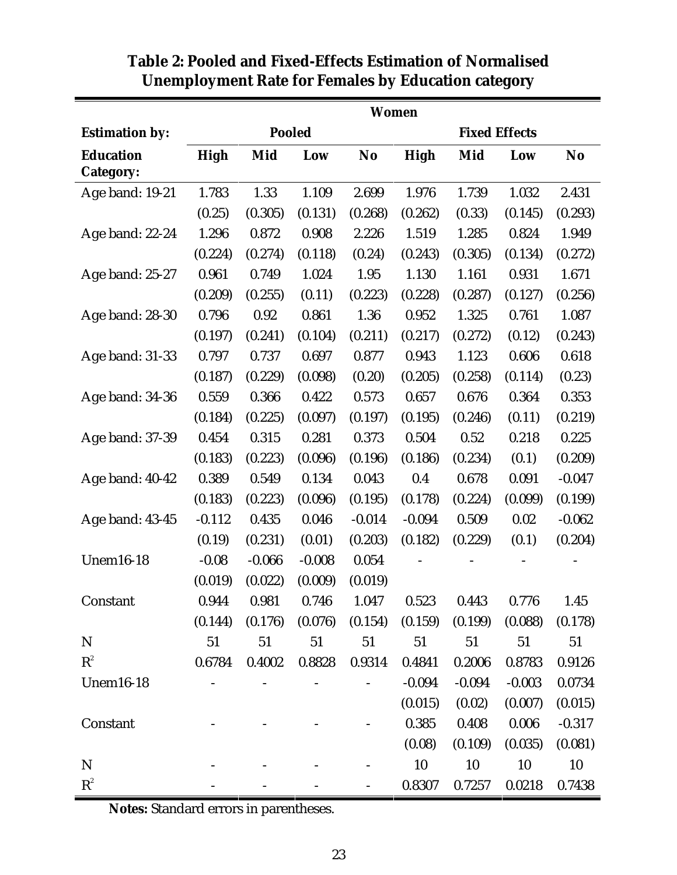|                                      | <b>Women</b> |          |          |           |                      |          |          |                |  |  |
|--------------------------------------|--------------|----------|----------|-----------|----------------------|----------|----------|----------------|--|--|
| <b>Estimation by:</b>                |              |          | Pooled   |           | <b>Fixed Effects</b> |          |          |                |  |  |
| <b>Education</b><br><b>Category:</b> | High         | Mid      | Low      | <b>No</b> | <b>High</b>          | Mid      | Low      | N <sub>o</sub> |  |  |
| Age band: 19-21                      | 1.783        | 1.33     | 1.109    | 2.699     | 1.976                | 1.739    | 1.032    | 2.431          |  |  |
|                                      | (0.25)       | (0.305)  | (0.131)  | (0.268)   | (0.262)              | (0.33)   | (0.145)  | (0.293)        |  |  |
| Age band: 22-24                      | 1.296        | 0.872    | 0.908    | 2.226     | 1.519                | 1.285    | 0.824    | 1.949          |  |  |
|                                      | (0.224)      | (0.274)  | (0.118)  | (0.24)    | (0.243)              | (0.305)  | (0.134)  | (0.272)        |  |  |
| Age band: 25-27                      | 0.961        | 0.749    | 1.024    | 1.95      | 1.130                | 1.161    | 0.931    | 1.671          |  |  |
|                                      | (0.209)      | (0.255)  | (0.11)   | (0.223)   | (0.228)              | (0.287)  | (0.127)  | (0.256)        |  |  |
| Age band: 28-30                      | 0.796        | 0.92     | 0.861    | 1.36      | 0.952                | 1.325    | 0.761    | 1.087          |  |  |
|                                      | (0.197)      | (0.241)  | (0.104)  | (0.211)   | (0.217)              | (0.272)  | (0.12)   | (0.243)        |  |  |
| Age band: 31-33                      | 0.797        | 0.737    | 0.697    | 0.877     | 0.943                | 1.123    | 0.606    | 0.618          |  |  |
|                                      | (0.187)      | (0.229)  | (0.098)  | (0.20)    | (0.205)              | (0.258)  | (0.114)  | (0.23)         |  |  |
| Age band: 34-36                      | 0.559        | 0.366    | 0.422    | 0.573     | 0.657                | 0.676    | 0.364    | 0.353          |  |  |
|                                      | (0.184)      | (0.225)  | (0.097)  | (0.197)   | (0.195)              | (0.246)  | (0.11)   | (0.219)        |  |  |
| Age band: 37-39                      | 0.454        | 0.315    | 0.281    | 0.373     | 0.504                | 0.52     | 0.218    | 0.225          |  |  |
|                                      | (0.183)      | (0.223)  | (0.096)  | (0.196)   | (0.186)              | (0.234)  | (0.1)    | (0.209)        |  |  |
| Age band: 40-42                      | 0.389        | 0.549    | 0.134    | 0.043     | 0.4                  | 0.678    | 0.091    | $-0.047$       |  |  |
|                                      | (0.183)      | (0.223)  | (0.096)  | (0.195)   | (0.178)              | (0.224)  | (0.099)  | (0.199)        |  |  |
| Age band: 43-45                      | $-0.112$     | 0.435    | 0.046    | $-0.014$  | $-0.094$             | 0.509    | 0.02     | $-0.062$       |  |  |
|                                      | (0.19)       | (0.231)  | (0.01)   | (0.203)   | (0.182)              | (0.229)  | (0.1)    | (0.204)        |  |  |
| <b>Unem16-18</b>                     | $-0.08$      | $-0.066$ | $-0.008$ | 0.054     |                      |          |          |                |  |  |
|                                      | (0.019)      | (0.022)  | (0.009)  | (0.019)   |                      |          |          |                |  |  |
| Constant                             | 0.944        | 0.981    | 0.746    | 1.047     | 0.523                | 0.443    | 0.776    | 1.45           |  |  |
|                                      | (0.144)      | (0.176)  | (0.076)  | (0.154)   | (0.159)              | (0.199)  | (0.088)  | (0.178)        |  |  |
| $\mathbf N$                          | 51           | 51       | 51       | 51        | 51                   | 51       | 51       | 51             |  |  |
| $\mathbf{R}^2$                       | 0.6784       | 0.4002   | 0.8828   | 0.9314    | 0.4841               | 0.2006   | 0.8783   | 0.9126         |  |  |
| <b>Unem16-18</b>                     |              |          |          |           | $-0.094$             | $-0.094$ | $-0.003$ | 0.0734         |  |  |
|                                      |              |          |          |           | (0.015)              | (0.02)   | (0.007)  | (0.015)        |  |  |
| Constant                             |              |          |          |           | 0.385                | 0.408    | 0.006    | $-0.317$       |  |  |
|                                      |              |          |          |           | (0.08)               | (0.109)  | (0.035)  | (0.081)        |  |  |
| $\mathbf N$                          |              |          |          |           | 10                   | 10       | 10       | 10             |  |  |
| $\mathbf{R}^2$                       |              |          |          |           | 0.8307               | 0.7257   | 0.0218   | 0.7438         |  |  |

#### **Table 2: Pooled and Fixed-Effects Estimation of Normalised Unemployment Rate for Females by Education category**

**Notes:** Standard errors in parentheses.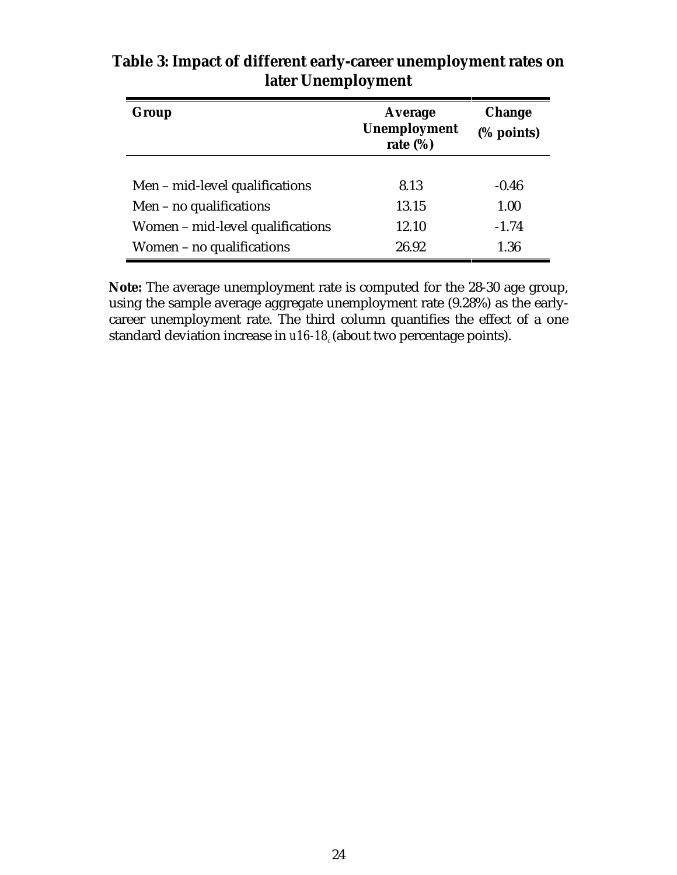| Group                            | Average<br><b>Unemployment</b><br>rate $(\%)$ | <b>Change</b><br>(% points) |
|----------------------------------|-----------------------------------------------|-----------------------------|
| Men – mid-level qualifications   | 8.13                                          | $-0.46$                     |
| Men - no qualifications          | 13.15                                         | 1.00                        |
| Women – mid-level qualifications | 12.10                                         | $-1.74$                     |
| Women - no qualifications        | 26.92                                         | 1.36                        |

#### **Table 3: Impact of different early-career unemployment rates on later Unemployment**

**Note:** The average unemployment rate is computed for the 28-30 age group, using the sample average aggregate unemployment rate (9.28%) as the earlycareer unemployment rate. The third column quantifies the effect of a one standard deviation increase in *u16-18*<sub>c</sub> (about two percentage points).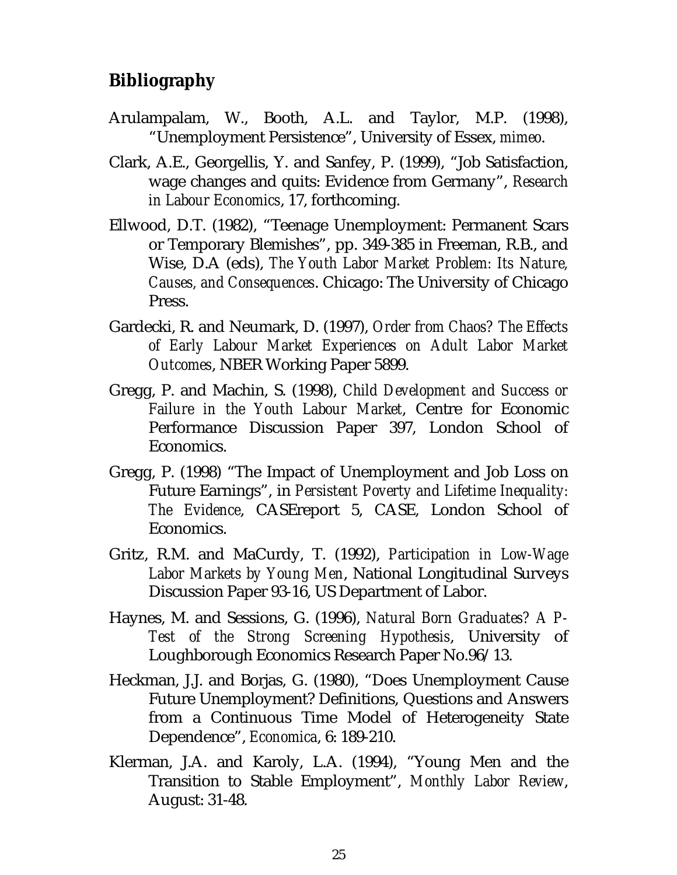### **Bibliography**

- Arulampalam, W., Booth, A.L. and Taylor, M.P. (1998), "Unemployment Persistence", University of Essex, *mimeo*.
- Clark, A.E., Georgellis, Y. and Sanfey, P. (1999), "Job Satisfaction, wage changes and quits: Evidence from Germany", *Research in Labour Economics*, 17, forthcoming.
- Ellwood, D.T. (1982), "Teenage Unemployment: Permanent Scars or Temporary Blemishes", pp. 349-385 in Freeman, R.B., and Wise, D.A (eds), *The Youth Labor Market Problem: Its Nature, Causes, and Consequences*. Chicago: The University of Chicago Press.
- Gardecki, R. and Neumark, D. (1997), *Order from Chaos? The Effects of Early Labour Market Experiences on Adult Labor Market Outcomes*, NBER Working Paper 5899.
- Gregg, P. and Machin, S. (1998), *Child Development and Success or Failure in the Youth Labour Market*, Centre for Economic Performance Discussion Paper 397, London School of Economics.
- Gregg, P. (1998) "The Impact of Unemployment and Job Loss on Future Earnings", in *Persistent Poverty and Lifetime Inequality: The Evidence*, CASEreport 5, CASE, London School of Economics.
- Gritz, R.M. and MaCurdy, T. (1992), *Participation in Low-Wage Labor Markets by Young Men*, National Longitudinal Surveys Discussion Paper 93-16, US Department of Labor.
- Haynes, M. and Sessions, G. (1996), *Natural Born Graduates? A P-Test of the Strong Screening Hypothesis*, University of Loughborough Economics Research Paper No.96/13.
- Heckman, J.J. and Borjas, G. (1980), "Does Unemployment Cause Future Unemployment? Definitions, Questions and Answers from a Continuous Time Model of Heterogeneity State Dependence", *Economica*, 6: 189-210.
- Klerman, J.A. and Karoly, L.A. (1994), "Young Men and the Transition to Stable Employment", *Monthly Labor Review*, August: 31-48.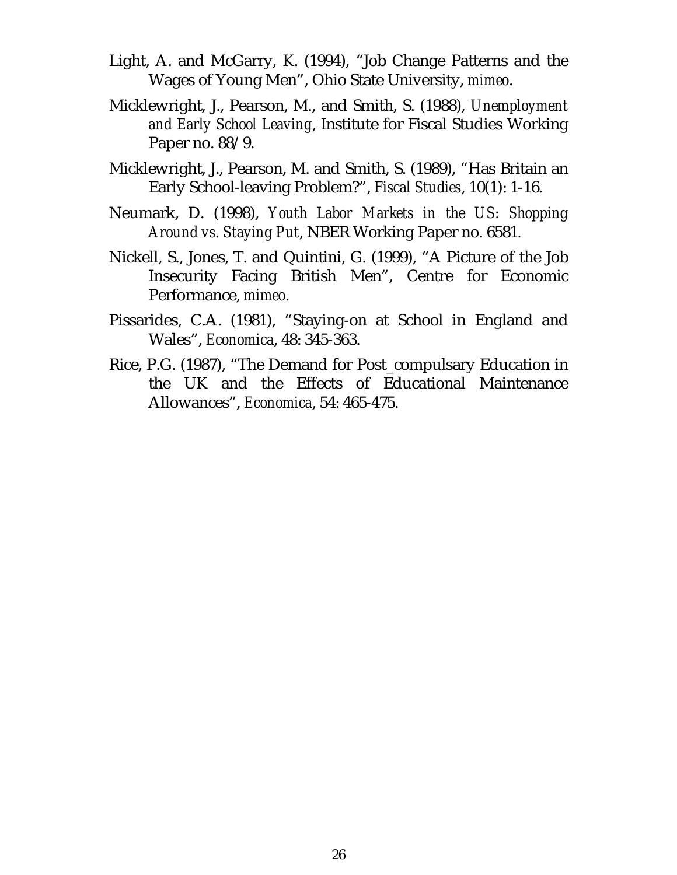- Light, A. and McGarry, K. (1994), "Job Change Patterns and the Wages of Young Men", Ohio State University, *mimeo*.
- Micklewright, J., Pearson, M., and Smith, S. (1988), *Unemployment and Early School Leaving*, Institute for Fiscal Studies Working Paper no. 88/9.
- Micklewright, J., Pearson, M. and Smith, S. (1989), "Has Britain an Early School-leaving Problem?", *Fiscal Studies*, 10(1): 1-16.
- Neumark, D. (1998), *Youth Labor Markets in the US: Shopping Around vs. Staying Put*, NBER Working Paper no. 6581*.*
- Nickell, S., Jones, T. and Quintini, G. (1999), "A Picture of the Job Insecurity Facing British Men", Centre for Economic Performance, *mimeo*.
- Pissarides, C.A. (1981), "Staying-on at School in England and Wales", *Economica*, 48: 345-363.
- Rice, P.G. (1987), "The Demand for Post\_compulsary Education in the UK and the Effects of Educational Maintenance Allowances", *Economica*, 54: 465-475.